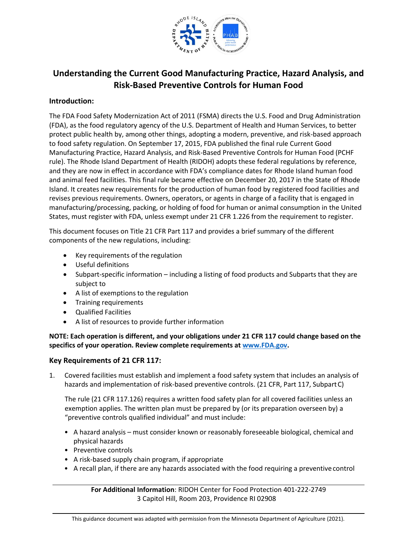

# **Understanding the Current Good Manufacturing Practice, Hazard Analysis, and Risk-Based Preventive Controls for Human Food**

### **Introduction:**

The FDA Food Safety Modernization Act of 2011 (FSMA) directs the U.S. Food and Drug Administration (FDA), as the food regulatory agency of the U.S. Department of Health and Human Services, to better protect public health by, among other things, adopting a modern, preventive, and risk-based approach to food safety regulation. On September 17, 2015, FDA published the final rule Current Good Manufacturing Practice, Hazard Analysis, and Risk-Based Preventive Controls for Human Food (PCHF rule). The Rhode Island Department of Health (RIDOH) adopts these federal regulations by reference, and they are now in effect in accordance with FDA's compliance dates for Rhode Island human food and animal feed facilities. This final rule became effective on December 20, 2017 in the State of Rhode Island. It creates new requirements for the production of human food by registered food facilities and revises previous requirements. Owners, operators, or agents in charge of a facility that is engaged in manufacturing/processing, packing, or holding of food for human or animal consumption in the United States, must register with FDA, unless exempt under 21 CFR 1.226 from the requirement to register.

This document focuses on Title 21 CFR Part 117 and provides a brief summary of the different components of the new regulations, including:

- Key requirements of the regulation
- Useful definitions
- Subpart-specific information including a listing of food products and Subparts that they are subject to
- A list of exemptions to the regulation
- Training requirements
- Qualified Facilities
- A list of resources to provide further information

**NOTE: Each operation is different, and your obligations under 21 CFR 117 could change based on the specifics of your operation. Review complete requirements at [www.FDA.gov.](http://www.fda.gov/)**

### **Key Requirements of 21 CFR 117:**

1. Covered facilities must establish and implement a food safety system that includes an analysis of hazards and implementation of risk-based preventive controls. (21 CFR, Part 117, SubpartC)

The rule (21 CFR 117.126) requires a written food safety plan for all covered facilities unless an exemption applies. The written plan must be prepared by (or its preparation overseen by) a "preventive controls qualified individual" and must include:

- A hazard analysis must consider known or reasonably foreseeable biological, chemical and physical hazards
- Preventive controls
- A risk-based supply chain program, if appropriate
- A recall plan, if there are any hazards associated with the food requiring a preventivecontrol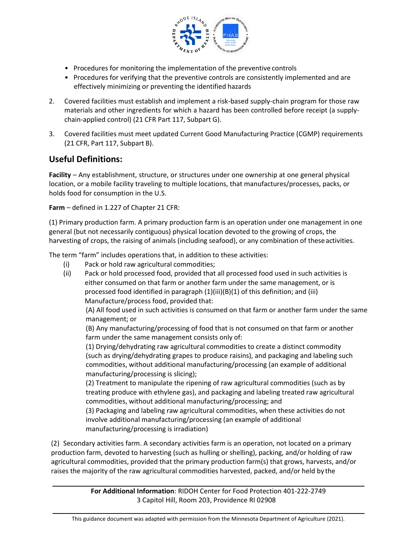

- Procedures for monitoring the implementation of the preventive controls
- Procedures for verifying that the preventive controls are consistently implemented and are effectively minimizing or preventing the identified hazards
- 2. Covered facilities must establish and implement a risk-based supply-chain program for those raw materials and other ingredients for which a hazard has been controlled before receipt (a supplychain-applied control) (21 CFR Part 117, Subpart G).
- 3. Covered facilities must meet updated Current Good Manufacturing Practice (CGMP) requirements (21 CFR, Part 117, Subpart B).

# **Useful Definitions:**

**Facility** – Any establishment, structure, or structures under one ownership at one general physical location, or a mobile facility traveling to multiple locations, that manufactures/processes, packs, or holds food for consumption in the U.S.

**Farm** – defined in 1.227 of Chapter 21 CFR:

(1) Primary production farm. A primary production farm is an operation under one management in one general (but not necessarily contiguous) physical location devoted to the growing of crops, the harvesting of crops, the raising of animals (including seafood), or any combination of these activities.

The term "farm" includes operations that, in addition to these activities:

- (i) Pack or hold raw agricultural commodities;
- (ii) Pack or hold processed food, provided that all processed food used in such activities is either consumed on that farm or another farm under the same management, or is processed food identified in paragraph (1)(iii)(B)(1) of this definition; and (iii) Manufacture/process food, provided that:

(A) All food used in such activities is consumed on that farm or another farm under the same management; or

(B) Any manufacturing/processing of food that is not consumed on that farm or another farm under the same management consists only of:

(1) Drying/dehydrating raw agricultural commodities to create a distinct commodity (such as drying/dehydrating grapes to produce raisins), and packaging and labeling such commodities, without additional manufacturing/processing (an example of additional manufacturing/processing is slicing);

(2) Treatment to manipulate the ripening of raw agricultural commodities (such as by treating produce with ethylene gas), and packaging and labeling treated raw agricultural commodities, without additional manufacturing/processing; and

(3) Packaging and labeling raw agricultural commodities, when these activities do not involve additional manufacturing/processing (an example of additional manufacturing/processing is irradiation)

(2) Secondary activities farm. A secondary activities farm is an operation, not located on a primary production farm, devoted to harvesting (such as hulling or shelling), packing, and/or holding of raw agricultural commodities, provided that the primary production farm(s) that grows, harvests, and/or raises the majority of the raw agricultural commodities harvested, packed, and/or held by the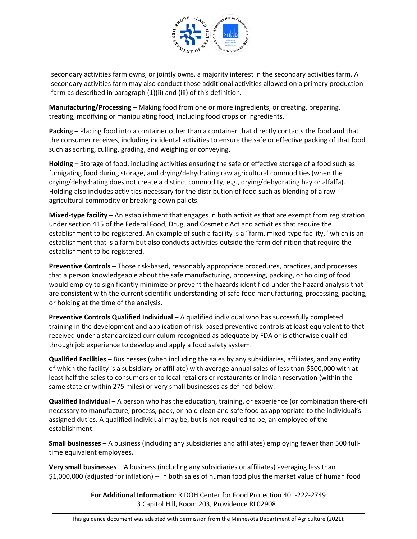

secondary activities farm owns, or jointly owns, a majority interest in the secondary activities farm. A secondary activities farm may also conduct those additional activities allowed on a primary production farm as described in paragraph (1)(ii) and (iii) of this definition.

**Manufacturing/Processing** – Making food from one or more ingredients, or creating, preparing, treating, modifying or manipulating food, including food crops or ingredients.

**Packing** – Placing food into a container other than a container that directly contacts the food and that the consumer receives, including incidental activities to ensure the safe or effective packing of that food such as sorting, culling, grading, and weighing or conveying.

**Holding** – Storage of food, including activities ensuring the safe or effective storage of a food such as fumigating food during storage, and drying/dehydrating raw agricultural commodities (when the drying/dehydrating does not create a distinct commodity, e.g., drying/dehydrating hay or alfalfa). Holding also includes activities necessary for the distribution of food such as blending of a raw agricultural commodity or breaking down pallets.

**Mixed-type facility** – An establishment that engages in both activities that are exempt from registration under section 415 of the Federal Food, Drug, and Cosmetic Act and activities that require the establishment to be registered. An example of such a facility is a "farm, mixed-type facility," which is an establishment that is a farm but also conducts activities outside the farm definition that require the establishment to be registered.

**Preventive Controls** – Those risk-based, reasonably appropriate procedures, practices, and processes that a person knowledgeable about the safe manufacturing, processing, packing, or holding of food would employ to significantly minimize or prevent the hazards identified under the hazard analysis that are consistent with the current scientific understanding of safe food manufacturing, processing, packing, or holding at the time of the analysis.

**Preventive Controls Qualified Individual** – A qualified individual who has successfully completed training in the development and application of risk-based preventive controls at least equivalent to that received under a standardized curriculum recognized as adequate by FDA or is otherwise qualified through job experience to develop and apply a food safety system.

**Qualified Facilities** – Businesses (when including the sales by any subsidiaries, affiliates, and any entity of which the facility is a subsidiary or affiliate) with average annual sales of less than \$500,000 with at least half the sales to consumers or to local retailers or restaurants or Indian reservation (within the same state or within 275 miles) or very small businesses as defined below.

**Qualified Individual** – A person who has the education, training, or experience (or combination there-of) necessary to manufacture, process, pack, or hold clean and safe food as appropriate to the individual's assigned duties. A qualified individual may be, but is not required to be, an employee of the establishment.

**Small businesses** – A business (including any subsidiaries and affiliates) employing fewer than 500 fulltime equivalent employees.

**Very small businesses** – A business (including any subsidiaries or affiliates) averaging less than \$1,000,000 (adjusted for inflation) -- in both sales of human food plus the market value of human food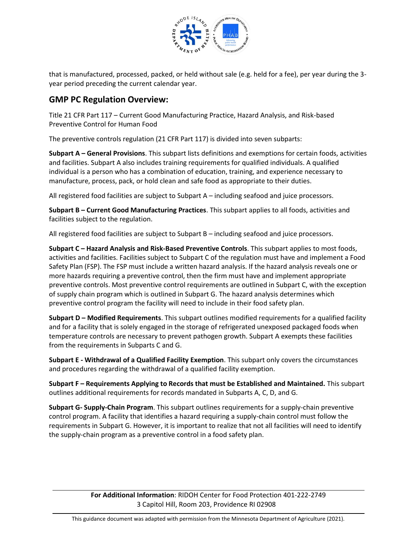

that is manufactured, processed, packed, or held without sale (e.g. held for a fee), per year during the 3 year period preceding the current calendar year.

# **GMP PC Regulation Overview:**

Title 21 CFR Part 117 – Current Good Manufacturing Practice, Hazard Analysis, and Risk-based Preventive Control for Human Food

The preventive controls regulation (21 CFR Part 117) is divided into seven subparts:

**Subpart A – General Provisions**. This subpart lists definitions and exemptions for certain foods, activities and facilities. Subpart A also includes training requirements for qualified individuals. A qualified individual is a person who has a combination of education, training, and experience necessary to manufacture, process, pack, or hold clean and safe food as appropriate to their duties.

All registered food facilities are subject to Subpart A – including seafood and juice processors.

**Subpart B – Current Good Manufacturing Practices**. This subpart applies to all foods, activities and facilities subject to the regulation.

All registered food facilities are subject to Subpart B – including seafood and juice processors.

**Subpart C – Hazard Analysis and Risk-Based Preventive Controls**. This subpart applies to most foods, activities and facilities. Facilities subject to Subpart C of the regulation must have and implement a Food Safety Plan (FSP). The FSP must include a written hazard analysis. If the hazard analysis reveals one or more hazards requiring a preventive control, then the firm must have and implement appropriate preventive controls. Most preventive control requirements are outlined in Subpart C, with the exception of supply chain program which is outlined in Subpart G. The hazard analysis determines which preventive control program the facility will need to include in their food safety plan.

**Subpart D – Modified Requirements**. This subpart outlines modified requirements for a qualified facility and for a facility that is solely engaged in the storage of refrigerated unexposed packaged foods when temperature controls are necessary to prevent pathogen growth. Subpart A exempts these facilities from the requirements in Subparts C and G.

**Subpart E - Withdrawal of a Qualified Facility Exemption**. This subpart only covers the circumstances and procedures regarding the withdrawal of a qualified facility exemption.

**Subpart F – Requirements Applying to Records that must be Established and Maintained.** This subpart outlines additional requirements for records mandated in Subparts A, C, D, and G.

**Subpart G- Supply-Chain Program**. This subpart outlines requirements for a supply-chain preventive control program. A facility that identifies a hazard requiring a supply-chain control must follow the requirements in Subpart G. However, it is important to realize that not all facilities will need to identify the supply-chain program as a preventive control in a food safety plan.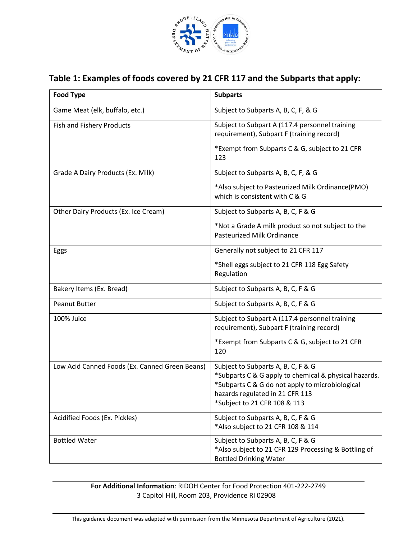

# **Table 1: Examples of foods covered by 21 CFR 117 and the Subparts that apply:**

| <b>Food Type</b>                               | <b>Subparts</b>                                                                                                                                                                                                   |
|------------------------------------------------|-------------------------------------------------------------------------------------------------------------------------------------------------------------------------------------------------------------------|
| Game Meat (elk, buffalo, etc.)                 | Subject to Subparts A, B, C, F, & G                                                                                                                                                                               |
| Fish and Fishery Products                      | Subject to Subpart A (117.4 personnel training<br>requirement), Subpart F (training record)                                                                                                                       |
|                                                | *Exempt from Subparts C & G, subject to 21 CFR<br>123                                                                                                                                                             |
| Grade A Dairy Products (Ex. Milk)              | Subject to Subparts A, B, C, F, & G                                                                                                                                                                               |
|                                                | *Also subject to Pasteurized Milk Ordinance(PMO)<br>which is consistent with C & G                                                                                                                                |
| Other Dairy Products (Ex. Ice Cream)           | Subject to Subparts A, B, C, F & G                                                                                                                                                                                |
|                                                | *Not a Grade A milk product so not subject to the<br>Pasteurized Milk Ordinance                                                                                                                                   |
| Eggs                                           | Generally not subject to 21 CFR 117                                                                                                                                                                               |
|                                                | *Shell eggs subject to 21 CFR 118 Egg Safety<br>Regulation                                                                                                                                                        |
| Bakery Items (Ex. Bread)                       | Subject to Subparts A, B, C, F & G                                                                                                                                                                                |
| <b>Peanut Butter</b>                           | Subject to Subparts A, B, C, F & G                                                                                                                                                                                |
| 100% Juice                                     | Subject to Subpart A (117.4 personnel training<br>requirement), Subpart F (training record)                                                                                                                       |
|                                                | *Exempt from Subparts C & G, subject to 21 CFR<br>120                                                                                                                                                             |
| Low Acid Canned Foods (Ex. Canned Green Beans) | Subject to Subparts A, B, C, F & G<br>*Subparts C & G apply to chemical & physical hazards.<br>*Subparts C & G do not apply to microbiological<br>hazards regulated in 21 CFR 113<br>*Subject to 21 CFR 108 & 113 |
| Acidified Foods (Ex. Pickles)                  | Subject to Subparts A, B, C, F & G<br>*Also subject to 21 CFR 108 & 114                                                                                                                                           |
| <b>Bottled Water</b>                           | Subject to Subparts A, B, C, F & G<br>*Also subject to 21 CFR 129 Processing & Bottling of<br><b>Bottled Drinking Water</b>                                                                                       |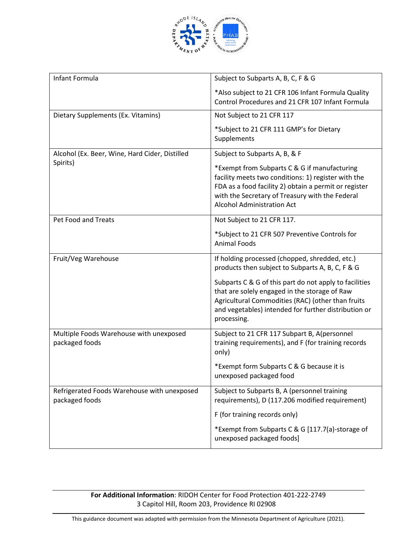

| Infant Formula                                                | Subject to Subparts A, B, C, F & G                                                                                                                                                                                                                   |
|---------------------------------------------------------------|------------------------------------------------------------------------------------------------------------------------------------------------------------------------------------------------------------------------------------------------------|
|                                                               | *Also subject to 21 CFR 106 Infant Formula Quality<br>Control Procedures and 21 CFR 107 Infant Formula                                                                                                                                               |
| Dietary Supplements (Ex. Vitamins)                            | Not Subject to 21 CFR 117                                                                                                                                                                                                                            |
|                                                               | *Subject to 21 CFR 111 GMP's for Dietary<br>Supplements                                                                                                                                                                                              |
| Alcohol (Ex. Beer, Wine, Hard Cider, Distilled                | Subject to Subparts A, B, & F                                                                                                                                                                                                                        |
| Spirits)                                                      | *Exempt from Subparts C & G if manufacturing<br>facility meets two conditions: 1) register with the<br>FDA as a food facility 2) obtain a permit or register<br>with the Secretary of Treasury with the Federal<br><b>Alcohol Administration Act</b> |
| Pet Food and Treats                                           | Not Subject to 21 CFR 117.                                                                                                                                                                                                                           |
|                                                               | *Subject to 21 CFR 507 Preventive Controls for<br><b>Animal Foods</b>                                                                                                                                                                                |
| Fruit/Veg Warehouse                                           | If holding processed (chopped, shredded, etc.)<br>products then subject to Subparts A, B, C, F & G                                                                                                                                                   |
|                                                               | Subparts C & G of this part do not apply to facilities<br>that are solely engaged in the storage of Raw<br>Agricultural Commodities (RAC) (other than fruits<br>and vegetables) intended for further distribution or<br>processing.                  |
| Multiple Foods Warehouse with unexposed<br>packaged foods     | Subject to 21 CFR 117 Subpart B, A(personnel<br>training requirements), and F (for training records<br>only)                                                                                                                                         |
|                                                               | *Exempt form Subparts C & G because it is<br>unexposed packaged food                                                                                                                                                                                 |
| Refrigerated Foods Warehouse with unexposed<br>packaged foods | Subject to Subparts B, A (personnel training<br>requirements), D (117.206 modified requirement)                                                                                                                                                      |
|                                                               | F (for training records only)                                                                                                                                                                                                                        |
|                                                               | *Exempt from Subparts C & G [117.7(a)-storage of<br>unexposed packaged foods]                                                                                                                                                                        |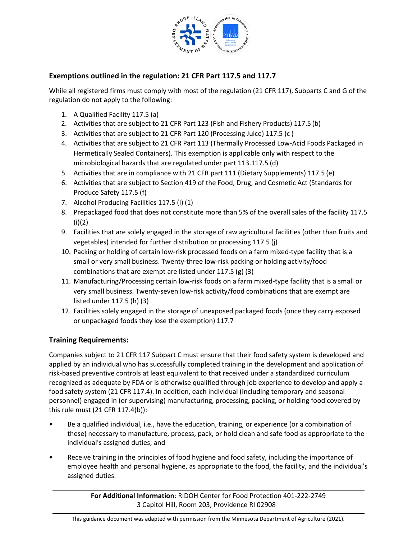

## **Exemptions outlined in the regulation: 21 CFR Part 117.5 and 117.7**

While all registered firms must comply with most of the regulation (21 CFR 117), Subparts C and G of the regulation do not apply to the following:

- 1. A Qualified Facility 117.5 (a)
- 2. Activities that are subject to 21 CFR Part 123 (Fish and Fishery Products) 117.5 (b)
- 3. Activities that are subject to 21 CFR Part 120 (Processing Juice) 117.5 (c )
- 4. Activities that are subject to 21 CFR Part 113 (Thermally Processed Low-Acid Foods Packaged in Hermetically Sealed Containers). This exemption is applicable only with respect to the microbiological hazards that are regulated under part 113.117.5 (d)
- 5. Activities that are in compliance with 21 CFR part 111 (Dietary Supplements) 117.5 (e)
- 6. Activities that are subject to Section 419 of the Food, Drug, and Cosmetic Act (Standards for Produce Safety 117.5 (f)
- 7. Alcohol Producing Facilities 117.5 (i) (1)
- 8. Prepackaged food that does not constitute more than 5% of the overall sales of the facility 117.5 (i)(2)
- 9. Facilities that are solely engaged in the storage of raw agricultural facilities (other than fruits and vegetables) intended for further distribution or processing 117.5 (j)
- 10. Packing or holding of certain low-risk processed foods on a farm mixed-type facility that is a small or very small business. Twenty-three low-risk packing or holding activity/food combinations that are exempt are listed under 117.5 (g) (3)
- 11. Manufacturing/Processing certain low-risk foods on a farm mixed-type facility that is a small or very small business. Twenty-seven low-risk activity/food combinations that are exempt are listed under 117.5 (h) (3)
- 12. Facilities solely engaged in the storage of unexposed packaged foods (once they carry exposed or unpackaged foods they lose the exemption) 117.7

### **Training Requirements:**

Companies subject to 21 CFR 117 Subpart C must ensure that their food safety system is developed and applied by an individual who has successfully completed training in the development and application of risk-based preventive controls at least equivalent to that received under a standardized curriculum recognized as adequate by FDA or is otherwise qualified through job experience to develop and apply a food safety system (21 CFR 117.4). In addition, each individual (including temporary and seasonal personnel) engaged in (or supervising) manufacturing, processing, packing, or holding food covered by this rule must (21 CFR 117.4(b)):

- Be a qualified individual, i.e., have the education, training, or experience (or a combination of these) necessary to manufacture, process, pack, or hold clean and safe food as appropriate to the individual's assigned duties; and
- Receive training in the principles of food hygiene and food safety, including the importance of employee health and personal hygiene, as appropriate to the food, the facility, and the individual's assigned duties.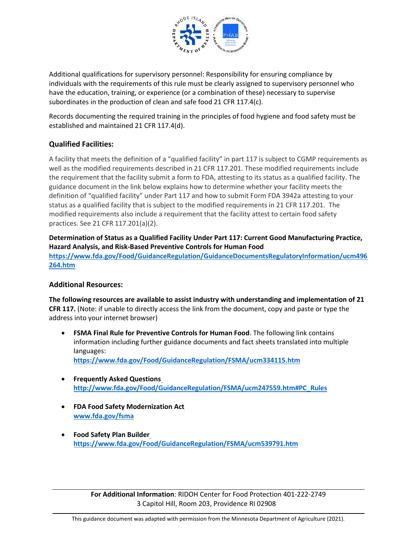

Additional qualifications for supervisory personnel: Responsibility for ensuring compliance by individuals with the requirements of this rule must be clearly assigned to supervisory personnel who have the education, training, or experience (or a combination of these) necessary to supervise subordinates in the production of clean and safe food 21 CFR 117.4(c).

Records documenting the required training in the principles of food hygiene and food safety must be established and maintained 21 CFR 117.4(d).

## **Qualified Facilities:**

A facility that meets the definition of a "qualified facility" in part 117 is subject to CGMP requirements as well as the modified requirements described in 21 CFR 117.201. These modified requirements include the requirement that the facility submit a form to FDA, attesting to its status as a qualified facility. The guidance document in the link below explains how to determine whether your facility meets the definition of "qualified facility" under Part 117 and how to submit Form FDA 3942a attesting to your status as a qualified facility that is subject to the modified requirements in 21 CFR 117.201. The modified requirements also include a requirement that the facility attest to certain food safety practices. See 21 CFR 117.201(a)(2).

**Determination of Status as a Qualified Facility Under Part 117: Current Good Manufacturing Practice, Hazard Analysis, and Risk-Based Preventive Controls for Human Food [https://www.fda.gov/Food/GuidanceRegulation/GuidanceDocumentsRegulatoryInformation/ucm496](https://www.fda.gov/Food/GuidanceRegulation/GuidanceDocumentsRegulatoryInformation/ucm496264.htm) [264.htm](https://www.fda.gov/Food/GuidanceRegulation/GuidanceDocumentsRegulatoryInformation/ucm496264.htm)**

### **Additional Resources:**

**The following resources are available to assist industry with understanding and implementation of 21 CFR 117.** (Note: if unable to directly access the link from the document, copy and paste or type the address into your internet browser)

- **FSMA Final Rule for Preventive Controls for Human Food**. The following link contains information including further guidance documents and fact sheets translated into multiple languages: **<https://www.fda.gov/Food/GuidanceRegulation/FSMA/ucm334115.htm>**
- **Frequently Asked Questions [http://www.fda.gov/Food/GuidanceRegulation/FSMA/ucm247559.htm#PC\\_Rules](http://www.fda.gov/Food/GuidanceRegulation/FSMA/ucm247559.htm#PC_Rules)**
- **FDA Food Safety Modernization Act [www.fda.gov/fsma](http://www.fda.gov/fsma)**
- **Food Safety Plan Builder <https://www.fda.gov/Food/GuidanceRegulation/FSMA/ucm539791.htm>**